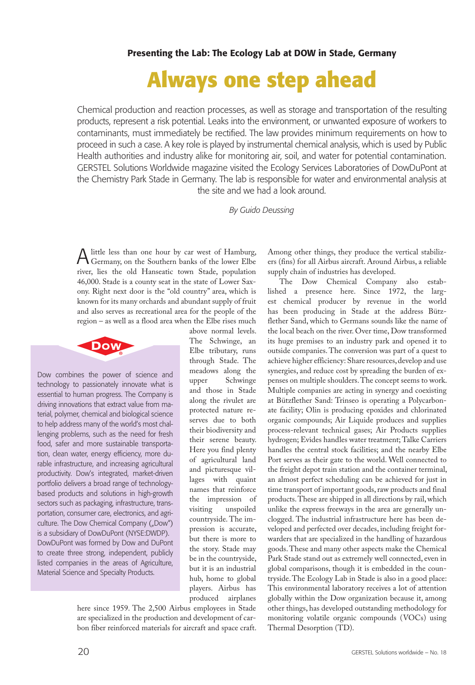## **Always one step ahead**

Chemical production and reaction processes, as well as storage and transportation of the resulting products, represent a risk potential. Leaks into the environment, or unwanted exposure of workers to contaminants, must immediately be rectified. The law provides minimum requirements on how to proceed in such a case. A key role is played by instrumental chemical analysis, which is used by Public Health authorities and industry alike for monitoring air, soil, and water for potential contamination. GERSTEL Solutions Worldwide magazine visited the Ecology Services Laboratories of DowDuPont at the Chemistry Park Stade in Germany. The lab is responsible for water and environmental analysis at the site and we had a look around.

*By Guido Deussing*

Alittle less than one hour by car west of Hamburg, Germany, on the Southern banks of the lower Elbe river, lies the old Hanseatic town Stade, population 46,000. Stade is a county seat in the state of Lower Saxony. Right next door is the "old country" area, which is known for its many orchards and abundant supply of fruit and also serves as recreational area for the people of the region – as well as a flood area when the Elbe rises much



Dow combines the power of science and technology to passionately innovate what is essential to human progress. The Company is driving innovations that extract value from material, polymer, chemical and biological science to help address many of the world's most challenging problems, such as the need for fresh food, safer and more sustainable transportation, clean water, energy efficiency, more durable infrastructure, and increasing agricultural productivity. Dow's integrated, market-driven portfolio delivers a broad range of technologybased products and solutions in high-growth sectors such as packaging, infrastructure, transportation, consumer care, electronics, and agriculture. The Dow Chemical Company ("Dow") is a subsidiary of DowDuPont (NYSE:DWDP). DowDuPont was formed by Dow and DuPont to create three strong, independent, publicly listed companies in the areas of Agriculture, Material Science and Specialty Products.

above normal levels. The Schwinge, an Elbe tributary, runs through Stade. The meadows along the upper Schwinge and those in Stade along the rivulet are protected nature reserves due to both their biodiversity and their serene beauty. Here you find plenty of agricultural land and picturesque villages with quaint names that reinforce the impression of visiting unspoiled countryside. The impression is accurate, but there is more to the story. Stade may be in the countryside, but it is an industrial hub, home to global players. Airbus has produced airplanes

here since 1959. The 2,500 Airbus employees in Stade are specialized in the production and development of carbon fiber reinforced materials for aircraft and space craft. Among other things, they produce the vertical stabilizers (fins) for all Airbus aircraft. Around Airbus, a reliable supply chain of industries has developed.

The Dow Chemical Company also established a presence here. Since 1972, the largest chemical producer by revenue in the world has been producing in Stade at the address Bützflether Sand, which to Germans sounds like the name of the local beach on the river. Over time, Dow transformed its huge premises to an industry park and opened it to outside companies. The conversion was part of a quest to achieve higher efficiency: Share resources, develop and use synergies, and reduce cost by spreading the burden of expenses on multiple shoulders. The concept seems to work. Multiple companies are acting in synergy and coexisting at Bützflether Sand: Trinseo is operating a Polycarbonate facility; Olin is producing epoxides and chlorinated organic compounds; Air Liquide produces and supplies process-relevant technical gases; Air Products supplies hydrogen; Evides handles water treatment; Talke Carriers handles the central stock facilities; and the nearby Elbe Port serves as their gate to the world. Well connected to the freight depot train station and the container terminal, an almost perfect scheduling can be achieved for just in time transport of important goods, raw products and final products. These are shipped in all directions by rail, which unlike the express freeways in the area are generally unclogged. The industrial infrastructure here has been developed and perfected over decades, including freight forwarders that are specialized in the handling of hazardous goods. These and many other aspects make the Chemical Park Stade stand out as extremely well connected, even in global comparisons, though it is embedded in the countryside. The Ecology Lab in Stade is also in a good place: This environmental laboratory receives a lot of attention globally within the Dow organization because it, among other things, has developed outstanding methodology for monitoring volatile organic compounds (VOCs) using Thermal Desorption (TD).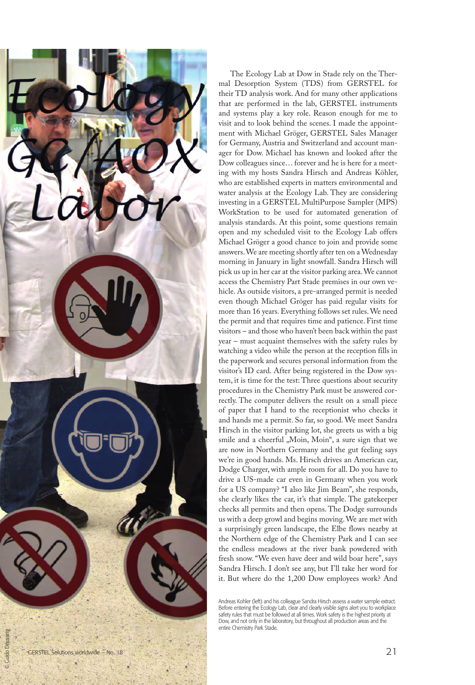

The Ecology Lab at Dow in Stade rely on the Ther mal Desorption System (TDS) from GERSTEL for their TD analysis work. And for many other applications that are performed in the lab, GERSTEL instruments and systems play a key role. Reason enough for me to visit and to look behind the scenes. I made the appoint ment with Michael Gröger, GERSTEL Sales Manager for Germany, Austria and Switzerland and account man ager for Dow. Michael has known and looked after the Dow colleagues since… forever and he is here for a meet ing with my hosts Sandra Hirsch and Andreas Köhler, who are established experts in matters environmental and water analysis at the Ecology Lab. They are considering investing in a GERSTEL MultiPurpose Sampler (MPS) WorkStation to be used for automated generation of analysis standards. At this point, some questions remain open and my scheduled visit to the Ecology Lab offers Michael Gröger a good chance to join and provide some answers. We are meeting shortly after ten on a Wednesday morning in January in light snowfall. Sandra Hirsch will pick us up in her car at the visitor parking area. We cannot access the Chemistry Part Stade premises in our own ve hicle. As outside visitors, a pre-arranged permit is needed even though Michael Gröger has paid regular visits for more than 16 years. Everything follows set rules. We need the permit and that requires time and patience. First time visitors – and those who haven't been back within the past year – must acquaint themselves with the safety rules by watching a video while the person at the reception fills in the paperwork and secures personal information from the visitor's ID card. After being registered in the Dow sys tem, it is time for the test: Three questions about security procedures in the Chemistry Park must be answered cor rectly. The computer delivers the result on a small piece of paper that I hand to the receptionist who checks it and hands me a permit. So far, so good. We meet Sandra Hirsch in the visitor parking lot, she greets us with a big smile and a cheerful "Moin, Moin", a sure sign that we are now in Northern Germany and the gut feeling says we're in good hands. Ms. Hirsch drives an American car, Dodge Charger, with ample room for all. Do you have to drive a US-made car even in Germany when you work for a US company? "I also like Jim Beam", she responds, she clearly likes the car, it's that simple. The gatekeeper checks all permits and then opens. The Dodge surrounds us with a deep growl and begins moving. We are met with a surprisingly green landscape, the Elbe flows nearby at the Northern edge of the Chemistry Park and I can see the endless meadows at the river bank powdered with fresh snow. "We even have deer and wild boar here", says Sandra Hirsch. I don't see any, but I'll take her word for it. But where do the 1,200 Dow employees work? And

Andreas Kohler (left) and his colleague Sandra Hirsch assess a water sample extract. Before entering the Ecology Lab, clear and clearly visible signs alert you to workplace safety rules that must be followed at all times. Work safety is the highest priority at Dow, and not only in the laboratory, but throughout all production areas and the entire Chemistry Park Stade.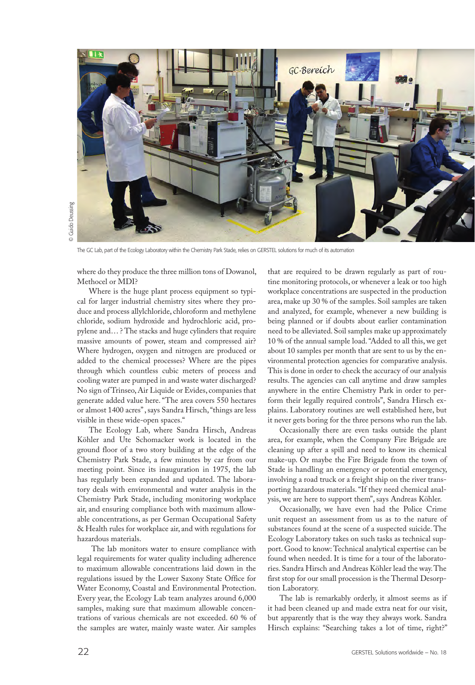

The GC Lab, part of the Ecology Laboratory within the Chemistry Park Stade, relies on GERSTEL solutions for much of its automation

where do they produce the three million tons of Dowanol, Methocel or MDI?

Where is the huge plant process equipment so typical for larger industrial chemistry sites where they produce and process allylchloride, chloroform and methylene chloride, sodium hydroxide and hydrochloric acid, propylene and… ? The stacks and huge cylinders that require massive amounts of power, steam and compressed air? Where hydrogen, oxygen and nitrogen are produced or added to the chemical processes? Where are the pipes through which countless cubic meters of process and cooling water are pumped in and waste water discharged? No sign of Trinseo, Air Liquide or Evides, companies that generate added value here. "The area covers 550 hectares or almost 1400 acres" , says Sandra Hirsch, "things are less visible in these wide-open spaces."

The Ecology Lab, where Sandra Hirsch, Andreas Köhler and Ute Schomacker work is located in the ground floor of a two story building at the edge of the Chemistry Park Stade, a few minutes by car from our meeting point. Since its inauguration in 1975, the lab has regularly been expanded and updated. The laboratory deals with environmental and water analysis in the Chemistry Park Stade, including monitoring workplace air, and ensuring compliance both with maximum allowable concentrations, as per German Occupational Safety & Health rules for workplace air, and with regulations for hazardous materials.

 The lab monitors water to ensure compliance with legal requirements for water quality including adherence to maximum allowable concentrations laid down in the regulations issued by the Lower Saxony State Office for Water Economy, Coastal and Environmental Protection. Every year, the Ecology Lab team analyzes around 6,000 samples, making sure that maximum allowable concentrations of various chemicals are not exceeded. 60 % of the samples are water, mainly waste water. Air samples

that are required to be drawn regularly as part of routine monitoring protocols, or whenever a leak or too high workplace concentrations are suspected in the production area, make up 30 % of the samples. Soil samples are taken and analyzed, for example, whenever a new building is being planned or if doubts about earlier contamination need to be alleviated. Soil samples make up approximately 10 % of the annual sample load. "Added to all this, we get about 10 samples per month that are sent to us by the environmental protection agencies for comparative analysis. This is done in order to check the accuracy of our analysis results. The agencies can call anytime and draw samples anywhere in the entire Chemistry Park in order to perform their legally required controls", Sandra Hirsch explains. Laboratory routines are well established here, but it never gets boring for the three persons who run the lab.

Occasionally there are even tasks outside the plant area, for example, when the Company Fire Brigade are cleaning up after a spill and need to know its chemical make-up. Or maybe the Fire Brigade from the town of Stade is handling an emergency or potential emergency, involving a road truck or a freight ship on the river transporting hazardous materials. "If they need chemical analysis, we are here to support them", says Andreas Köhler.

Occasionally, we have even had the Police Crime unit request an assessment from us as to the nature of substances found at the scene of a suspected suicide. The Ecology Laboratory takes on such tasks as technical support. Good to know: Technical analytical expertise can be found when needed. It is time for a tour of the laboratories. Sandra Hirsch and Andreas Köhler lead the way. The first stop for our small procession is the Thermal Desorption Laboratory.

The lab is remarkably orderly, it almost seems as if it had been cleaned up and made extra neat for our visit, but apparently that is the way they always work. Sandra Hirsch explains: "Searching takes a lot of time, right?"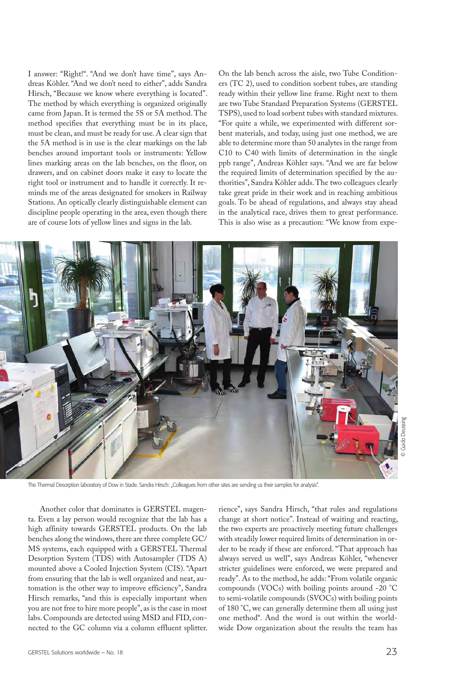I answer: "Right!". "And we don't have time", says Andreas Köhler. "And we don't need to either", adds Sandra Hirsch, "Because we know where everything is located". The method by which everything is organized originally came from Japan. It is termed the 5S or 5A method. The method specifies that everything must be in its place, must be clean, and must be ready for use. A clear sign that the 5A method is in use is the clear markings on the lab benches around important tools or instruments: Yellow lines marking areas on the lab benches, on the floor, on drawers, and on cabinet doors make it easy to locate the right tool or instrument and to handle it correctly. It reminds me of the areas designated for smokers in Railway Stations. An optically clearly distinguishable element can discipline people operating in the area, even though there are of course lots of yellow lines and signs in the lab.

On the lab bench across the aisle, two Tube Conditioners (TC 2), used to condition sorbent tubes, are standing ready within their yellow line frame. Right next to them are two Tube Standard Preparation Systems (GERSTEL TSPS), used to load sorbent tubes with standard mixtures. "For quite a while, we experimented with different sorbent materials, and today, using just one method, we are able to determine more than 50 analytes in the range from C10 to C40 with limits of determination in the single ppb range", Andreas Köhler says. "And we are far below the required limits of determination specified by the authorities", Sandra Köhler adds. The two colleagues clearly take great pride in their work and in reaching ambitious goals. To be ahead of regulations, and always stay ahead in the analytical race, drives them to great performance. This is also wise as a precaution: "We know from expe-



The Thermal Desorption laboratory of Dow in Stade. Sandra Hirsch: "Colleagues from other sites are sending us their samples for analysis".

Another color that dominates is GERSTEL magenta. Even a lay person would recognize that the lab has a high affinity towards GERSTEL products. On the lab benches along the windows, there are three complete GC/ MS systems, each equipped with a GERSTEL Thermal Desorption System (TDS) with Autosampler (TDS A) mounted above a Cooled Injection System (CIS). "Apart from ensuring that the lab is well organized and neat, automation is the other way to improve efficiency", Sandra Hirsch remarks, "and this is especially important when you are not free to hire more people", as is the case in most labs. Compounds are detected using MSD and FID, connected to the GC column via a column effluent splitter. rience", says Sandra Hirsch, "that rules and regulations change at short notice". Instead of waiting and reacting, the two experts are proactively meeting future challenges with steadily lower required limits of determination in order to be ready if these are enforced. "That approach has always served us well", says Andreas Köhler, "whenever stricter guidelines were enforced, we were prepared and ready". As to the method, he adds: "From volatile organic compounds (VOCs) with boiling points around -20 °C to semi-volatile compounds (SVOCs) with boiling points of 180 °C, we can generally determine them all using just one method". And the word is out within the worldwide Dow organization about the results the team has